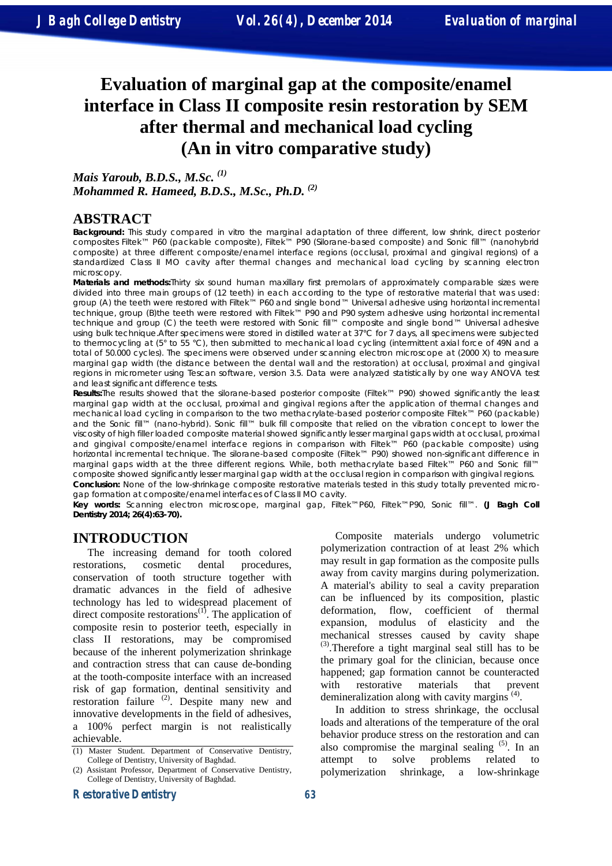# **Evaluation of marginal gap at the composite/enamel interface in Class II composite resin restoration by SEM after thermal and mechanical load cycling (An in vitro comparative study)**

*Mais Yaroub, B.D.S., M.Sc. (1) Mohammed R. Hameed, B.D.S., M.Sc., Ph.D. (2)* 

# **ABSTRACT**

**Background:** This study compared in vitro the marginal adaptation of three different, low shrink, direct posterior composites Filtek™ P60 (packable composite), Filtek™ P90 (Silorane-based composite) and Sonic fill™ (nanohybrid composite) at three different composite/enamel interface regions (occlusal, proximal and gingival regions) of a standardized Class II MO cavity after thermal changes and mechanical load cycling by scanning electron microscopy.

**Materials and methods:**Thirty six sound human maxillary first premolars of approximately comparable sizes were divided into three main groups of (12 teeth) in each according to the type of restorative material that was used: group (A) the teeth were restored with Filtek™ P60 and single bond™ Universal adhesive using horizontal incremental technique, group (B)the teeth were restored with Filtek™ P90 and P90 system adhesive using horizontal incremental technique and group (C) the teeth were restored with Sonic fill™ composite and single bond™ Universal adhesive using bulk technique.After specimens were stored in distilled water at 37°C for 7 days, all specimens were subjected to thermocycling at (5° to 55 °C), then submitted to mechanical load cycling (intermittent axial force of 49N and a total of 50.000 cycles). The specimens were observed under scanning electron microscope at (2000 X) to measure marginal gap width (the distance between the dental wall and the restoration) at occlusal, proximal and gingival regions in micrometer using Tescan software, version 3.5. Data were analyzed statistically by one way ANOVA test and least significant difference tests.

**Results:**The results showed that the silorane-based posterior composite (Filtek™ P90) showed significantly the least marginal gap width at the occlusal, proximal and gingival regions after the application of thermal changes and mechanical load cycling in comparison to the two methacrylate-based posterior composite Filtek™ P60 (packable) and the Sonic fill™ (nano-hybrid). Sonic fill™ bulk fill composite that relied on the vibration concept to lower the viscosity of high filler loaded composite material showed significantly lesser marginal gaps width at occlusal, proximal and gingival composite/enamel interface regions in comparison with Filtek™ P60 (packable composite) using horizontal incremental technique. The silorane-based composite (Filtek™ P90) showed non-significant difference in marginal gaps width at the three different regions. While, both methacrylate based Filtek™ P60 and Sonic fill™ composite showed significantly lesser marginal gap width at the occlusal region in comparison with gingival regions. **Conclusion:** None of the low-shrinkage composite restorative materials tested in this study totally prevented micro-

gap formation at composite/enamel interfaces of Class II MO cavity.

**Key words:** Scanning electron microscope, marginal gap, Filtek™P60, Filtek™P90, Sonic fill™. **(J Bagh Coll Dentistry 2014; 26(4):63-70).** 

# **INTRODUCTION**

The increasing demand for tooth colored restorations, cosmetic dental procedures, conservation of tooth structure together with dramatic advances in the field of adhesive technology has led to widespread placement of direct composite restorations<sup> $(1)$ </sup>. The application of composite resin to posterior teeth, especially in class II restorations, may be compromised because of the inherent polymerization shrinkage and contraction stress that can cause de-bonding at the tooth-composite interface with an increased risk of gap formation, dentinal sensitivity and restoration failure <sup>(2)</sup>. Despite many new and innovative developments in the field of adhesives, a 100% perfect margin is not realistically achievable.

Composite materials undergo volumetric polymerization contraction of at least 2% which may result in gap formation as the composite pulls away from cavity margins during polymerization. A material's ability to seal a cavity preparation can be influenced by its composition, plastic deformation, flow, coefficient of thermal expansion, modulus of elasticity and the mechanical stresses caused by cavity shape  $^{(3)}$ . Therefore a tight marginal seal still has to be the primary goal for the clinician, because once happened; gap formation cannot be counteracted with restorative materials that prevent demineralization along with cavity margins<sup> $(4)$ </sup>.

In addition to stress shrinkage, the occlusal loads and alterations of the temperature of the oral behavior produce stress on the restoration and can also compromise the marginal sealing  $(5)$ . In an attempt to solve problems related to polymerization shrinkage, a low-shrinkage

<sup>(1)</sup> Master Student. Department of Conservative Dentistry, College of Dentistry, University of Baghdad.

<sup>(2)</sup> Assistant Professor, Department of Conservative Dentistry, College of Dentistry, University of Baghdad.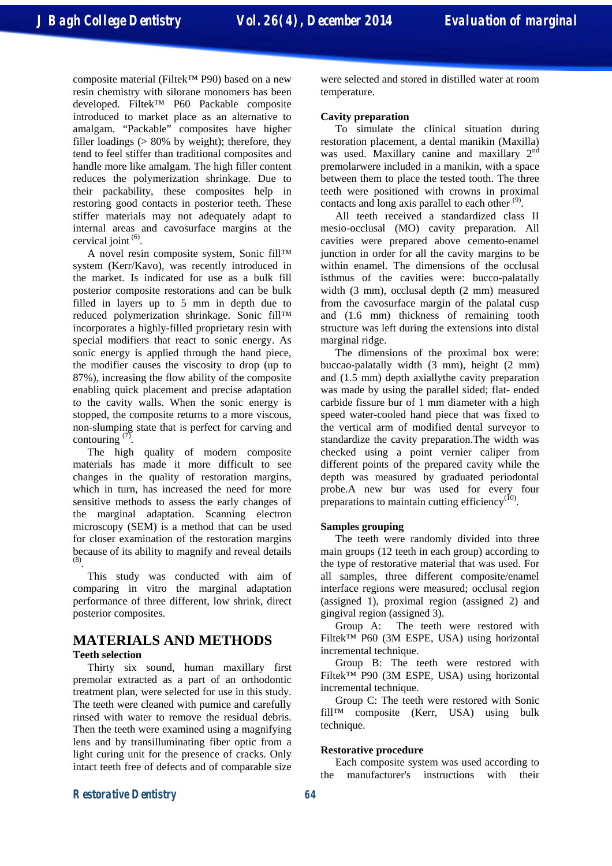composite material (Filtek™ P90) based on a new resin chemistry with silorane monomers has been developed. Filtek™ P60 Packable composite introduced to market place as an alternative to amalgam. "Packable" composites have higher filler loadings  $(> 80\%$  by weight); therefore, they tend to feel stiffer than traditional composites and handle more like amalgam. The high filler content reduces the polymerization shrinkage. Due to their packability, these composites help in restoring good contacts in posterior teeth. These stiffer materials may not adequately adapt to internal areas and cavosurface margins at the cervical joint  $(6)$ .

A novel resin composite system, Sonic fill™ system (Kerr/Kavo), was recently introduced in the market. Is indicated for use as a bulk fill posterior composite restorations and can be bulk filled in layers up to 5 mm in depth due to reduced polymerization shrinkage. Sonic fill™ incorporates a highly-filled proprietary resin with special modifiers that react to sonic energy. As sonic energy is applied through the hand piece, the modifier causes the viscosity to drop (up to 87%), increasing the flow ability of the composite enabling quick placement and precise adaptation to the cavity walls. When the sonic energy is stopped, the composite returns to a more viscous, non-slumping state that is perfect for carving and contouring  $(7)$ .

The high quality of modern composite materials has made it more difficult to see changes in the quality of restoration margins, which in turn, has increased the need for more sensitive methods to assess the early changes of the marginal adaptation. Scanning electron microscopy (SEM) is a method that can be used for closer examination of the restoration margins because of its ability to magnify and reveal details (8) .

This study was conducted with aim of comparing in vitro the marginal adaptation performance of three different, low shrink, direct posterior composites.

## **MATERIALS AND METHODS Teeth selection**

Thirty six sound, human maxillary first premolar extracted as a part of an orthodontic treatment plan, were selected for use in this study. The teeth were cleaned with pumice and carefully rinsed with water to remove the residual debris. Then the teeth were examined using a magnifying lens and by transilluminating fiber optic from a light curing unit for the presence of cracks. Only intact teeth free of defects and of comparable size were selected and stored in distilled water at room temperature.

#### **Cavity preparation**

To simulate the clinical situation during restoration placement, a dental manikin (Maxilla) was used. Maxillary canine and maxillary  $2<sup>nd</sup>$ premolarwere included in a manikin, with a space between them to place the tested tooth. The three teeth were positioned with crowns in proximal contacts and long axis parallel to each other  $(9)$ .

All teeth received a standardized class II mesio-occlusal (MO) cavity preparation. All cavities were prepared above cemento-enamel junction in order for all the cavity margins to be within enamel. The dimensions of the occlusal isthmus of the cavities were: bucco-palatally width (3 mm), occlusal depth (2 mm) measured from the cavosurface margin of the palatal cusp and (1.6 mm) thickness of remaining tooth structure was left during the extensions into distal marginal ridge.

The dimensions of the proximal box were: buccao-palatally width (3 mm), height (2 mm) and (1.5 mm) depth axiallythe cavity preparation was made by using the parallel sided; flat- ended carbide fissure bur of 1 mm diameter with a high speed water-cooled hand piece that was fixed to the vertical arm of modified dental surveyor to standardize the cavity preparation.The width was checked using a point vernier caliper from different points of the prepared cavity while the depth was measured by graduated periodontal probe.A new bur was used for every four preparations to maintain cutting efficiency<sup> $(10)$ </sup>.

## **Samples grouping**

The teeth were randomly divided into three main groups (12 teeth in each group) according to the type of restorative material that was used. For all samples, three different composite/enamel interface regions were measured; occlusal region (assigned 1), proximal region (assigned 2) and gingival region (assigned 3).

Group A: The teeth were restored with Filtek™ P60 (3M ESPE, USA) using horizontal incremental technique.

Group B: The teeth were restored with Filtek™ P90 (3M ESPE, USA) using horizontal incremental technique.

Group C: The teeth were restored with Sonic fill™ composite (Kerr, USA) using bulk technique.

#### **Restorative procedure**

Each composite system was used according to the manufacturer's instructions with their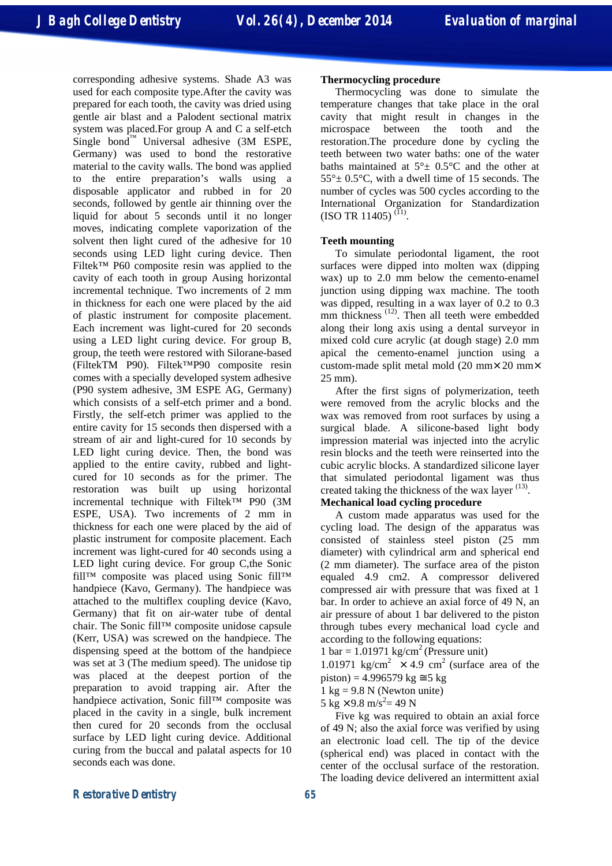corresponding adhesive systems. Shade A3 was used for each composite type.After the cavity was prepared for each tooth, the cavity was dried using gentle air blast and a Palodent sectional matrix system was placed.For group A and C a self-etch Single bond<sup>™</sup> Universal adhesive (3M ESPE, Germany) was used to bond the restorative material to the cavity walls. The bond was applied to the entire preparation's walls using a disposable applicator and rubbed in for 20 seconds, followed by gentle air thinning over the liquid for about 5 seconds until it no longer moves, indicating complete vaporization of the solvent then light cured of the adhesive for 10 seconds using LED light curing device. Then Filtek™ P60 composite resin was applied to the cavity of each tooth in group Ausing horizontal incremental technique. Two increments of 2 mm in thickness for each one were placed by the aid of plastic instrument for composite placement. Each increment was light-cured for 20 seconds using a LED light curing device. For group B, group, the teeth were restored with Silorane-based (FiltekTM P90). Filtek™P90 composite resin comes with a specially developed system adhesive (P90 system adhesive, 3M ESPE AG, Germany) which consists of a self-etch primer and a bond. Firstly, the self-etch primer was applied to the entire cavity for 15 seconds then dispersed with a stream of air and light-cured for 10 seconds by LED light curing device. Then, the bond was applied to the entire cavity, rubbed and lightcured for 10 seconds as for the primer. The restoration was built up using horizontal incremental technique with Filtek™ P90 (3M ESPE, USA). Two increments of 2 mm in thickness for each one were placed by the aid of plastic instrument for composite placement. Each increment was light-cured for 40 seconds using a LED light curing device. For group C,the Sonic fill™ composite was placed using Sonic fill™ handpiece (Kavo, Germany). The handpiece was attached to the multiflex coupling device (Kavo, Germany) that fit on air-water tube of dental chair. The Sonic fill™ composite unidose capsule (Kerr, USA) was screwed on the handpiece. The dispensing speed at the bottom of the handpiece was set at 3 (The medium speed). The unidose tip was placed at the deepest portion of the preparation to avoid trapping air. After the handpiece activation, Sonic fill™ composite was placed in the cavity in a single, bulk increment then cured for 20 seconds from the occlusal surface by LED light curing device. Additional curing from the buccal and palatal aspects for 10 seconds each was done.

#### **Thermocycling procedure**

Thermocycling was done to simulate the temperature changes that take place in the oral cavity that might result in changes in the microspace between the tooth and the restoration.The procedure done by cycling the teeth between two water baths: one of the water baths maintained at  $5^\circ \pm 0.5^\circ$ C and the other at  $55^{\circ}$  ± 0.5 $^{\circ}$ C, with a dwell time of 15 seconds. The number of cycles was 500 cycles according to the International Organization for Standardization  $(ISO TR 11405)$ <sup>(I1)</sup>.

## **Teeth mounting**

To simulate periodontal ligament, the root surfaces were dipped into molten wax (dipping wax) up to 2.0 mm below the cemento-enamel junction using dipping wax machine. The tooth was dipped, resulting in a wax layer of 0.2 to 0.3 mm thickness<sup>(12)</sup>. Then all teeth were embedded along their long axis using a dental surveyor in mixed cold cure acrylic (at dough stage) 2.0 mm apical the cemento-enamel junction using a custom-made split metal mold (20 mm× 20 mm× 25 mm).

After the first signs of polymerization, teeth were removed from the acrylic blocks and the wax was removed from root surfaces by using a surgical blade. A silicone-based light body impression material was injected into the acrylic resin blocks and the teeth were reinserted into the cubic acrylic blocks. A standardized silicone layer that simulated periodontal ligament was thus created taking the thickness of the wax layer  $(13)$ . **Mechanical load cycling procedure** 

A custom made apparatus was used for the cycling load. The design of the apparatus was consisted of stainless steel piston (25 mm diameter) with cylindrical arm and spherical end (2 mm diameter). The surface area of the piston equaled 4.9 cm2. A compressor delivered compressed air with pressure that was fixed at 1 bar. In order to achieve an axial force of 49 N, an air pressure of about 1 bar delivered to the piston through tubes every mechanical load cycle and according to the following equations:

1 bar =  $1.01971$  kg/cm<sup>2</sup> (Pressure unit)

1.01971 kg/cm<sup>2</sup>  $\times$  4.9 cm<sup>2</sup> (surface area of the piston) = 4.996579 kg  $\approx$  5 kg

 $1 \text{ kg} = 9.8 \text{ N}$  (Newton unite)

 $5 \text{ kg} \times 9.8 \text{ m/s}^2 = 49 \text{ N}$ 

Five kg was required to obtain an axial force of 49 N; also the axial force was verified by using an electronic load cell. The tip of the device (spherical end) was placed in contact with the center of the occlusal surface of the restoration. The loading device delivered an intermittent axial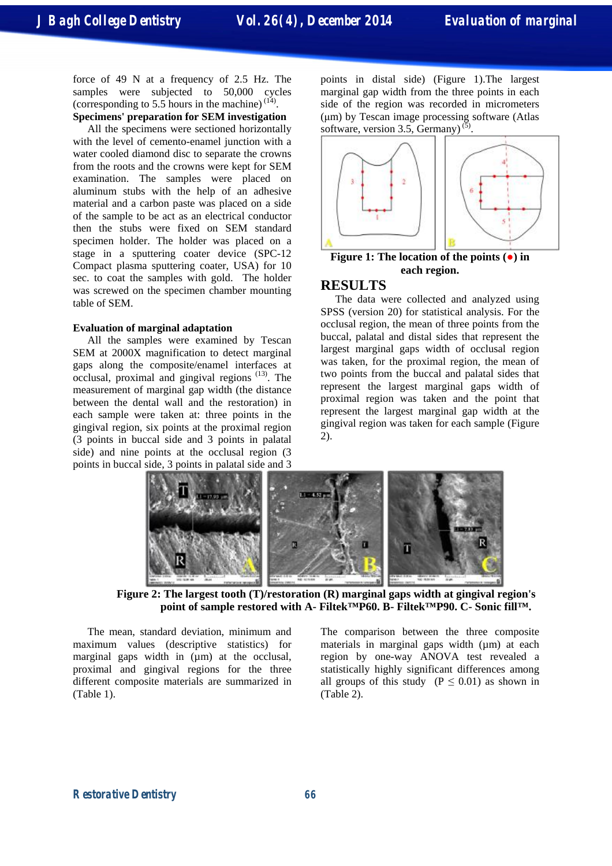force of 49 N at a frequency of 2.5 Hz. The samples were subjected to 50,000 cycles (corresponding to 5.5 hours in the machine)  $(14)$ .

# **Specimens' preparation for SEM investigation**

All the specimens were sectioned horizontally with the level of cemento-enamel junction with a water cooled diamond disc to separate the crowns from the roots and the crowns were kept for SEM examination. The samples were placed on aluminum stubs with the help of an adhesive material and a carbon paste was placed on a side of the sample to be act as an electrical conductor then the stubs were fixed on SEM standard specimen holder. The holder was placed on a stage in a sputtering coater device (SPC-12 Compact plasma sputtering coater, USA) for 10 sec. to coat the samples with gold. The holder was screwed on the specimen chamber mounting table of SEM.

#### **Evaluation of marginal adaptation**

All the samples were examined by Tescan SEM at 2000X magnification to detect marginal gaps along the composite/enamel interfaces at  $\rm{occlusal,~proximal~and~gingival~regions}$ <sup> $(13)$ </sup>. The measurement of marginal gap width (the distance between the dental wall and the restoration) in each sample were taken at: three points in the gingival region, six points at the proximal region (3 points in buccal side and 3 points in palatal side) and nine points at the occlusal region (3 points in buccal side, 3 points in palatal side and 3

points in distal side) (Figure 1).The largest marginal gap width from the three points in each side of the region was recorded in micrometers (μm) by Tescan image processing software (Atlas software, version 3.5, Germany)<sup>(5)</sup>.



## **Figure 1: The location of the points (●) in each region.**

# **RESULTS**

The data were collected and analyzed using SPSS (version 20) for statistical analysis. For the occlusal region, the mean of three points from the buccal, palatal and distal sides that represent the largest marginal gaps width of occlusal region was taken, for the proximal region, the mean of two points from the buccal and palatal sides that represent the largest marginal gaps width of proximal region was taken and the point that represent the largest marginal gap width at the gingival region was taken for each sample (Figure 2).



**Figure 2: The largest tooth (T)/restoration (R) marginal gaps width at gingival region's point of sample restored with A- Filtek™P60. B- Filtek™P90. C- Sonic fill™.** 

The mean, standard deviation, minimum and maximum values (descriptive statistics) for marginal gaps width in  $(\mu m)$  at the occlusal, proximal and gingival regions for the three different composite materials are summarized in (Table 1).

The comparison between the three composite materials in marginal gaps width (µm) at each region by one-way ANOVA test revealed a statistically highly significant differences among all groups of this study ( $P \leq 0.01$ ) as shown in (Table 2).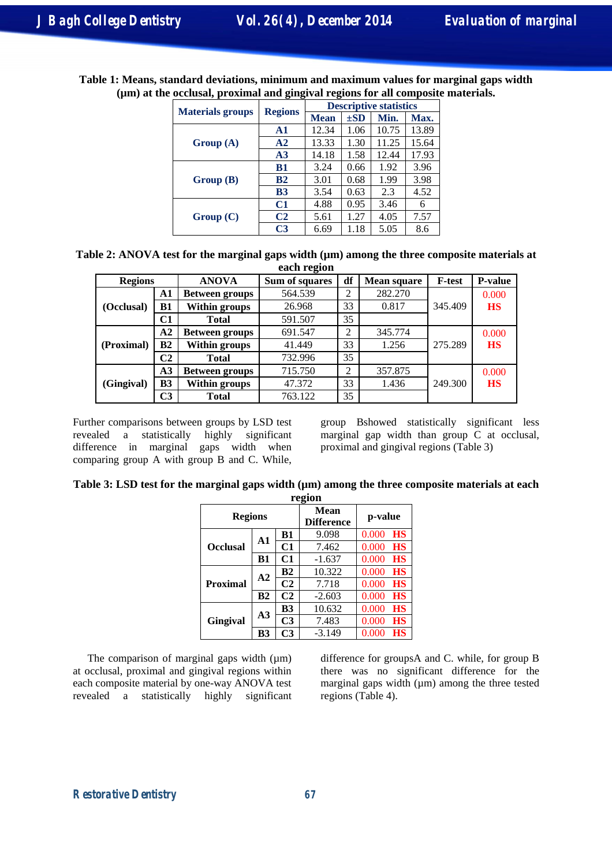| Table 1: Means, standard deviations, minimum and maximum values for marginal gaps width |  |
|-----------------------------------------------------------------------------------------|--|
| (µm) at the occlusal, proximal and gingival regions for all composite materials.        |  |

|                         |                | <b>Descriptive statistics</b> |          |       |       |  |
|-------------------------|----------------|-------------------------------|----------|-------|-------|--|
| <b>Materials groups</b> | <b>Regions</b> | <b>Mean</b>                   | $\pm SD$ | Min.  | Max.  |  |
|                         | A1             | 12.34                         | 1.06     | 10.75 | 13.89 |  |
| Group(A)                | ${\bf A2}$     | 13.33                         | 1.30     | 11.25 | 15.64 |  |
|                         | A <sub>3</sub> | 14.18                         | 1.58     | 12.44 | 17.93 |  |
|                         | <b>B1</b>      | 3.24                          | 0.66     | 1.92  | 3.96  |  |
| Group(B)                | B2             | 3.01                          | 0.68     | 1.99  | 3.98  |  |
|                         | <b>B3</b>      | 3.54                          | 0.63     | 2.3   | 4.52  |  |
|                         | C1             | 4.88                          | 0.95     | 3.46  | 6     |  |
| Group(C)                | C <sub>2</sub> | 5.61                          | 1.27     | 4.05  | 7.57  |  |
|                         | C <sub>3</sub> | 6.69                          | 1.18     | 5.05  | 8.6   |  |

| Table 2: ANOVA test for the marginal gaps width $(\mu m)$ among the three composite materials at |
|--------------------------------------------------------------------------------------------------|
| each region                                                                                      |

| <b>Regions</b> |                | <b>ANOVA</b>          | Sum of squares | df | <b>Mean square</b> | <b>F-test</b> | <b>P-value</b> |
|----------------|----------------|-----------------------|----------------|----|--------------------|---------------|----------------|
|                | A1             | <b>Between groups</b> | 564.539        |    | 282.270            |               | 0.000          |
| (Occlusal)     | <b>B1</b>      | Within groups         | 26.968         | 33 | 0.817              | 345.409       | <b>HS</b>      |
|                | C1             | <b>Total</b>          | 591.507        | 35 |                    |               |                |
|                | $\bf{A2}$      | <b>Between groups</b> | 691.547        | ↑  | 345.774            |               | 0.000          |
| (Proximal)     | B <sub>2</sub> | Within groups         | 41.449         | 33 | 1.256              | 275.289       | <b>HS</b>      |
|                | C2             | <b>Total</b>          | 732.996        | 35 |                    |               |                |
|                | A <sub>3</sub> | <b>Between groups</b> | 715.750        | ∍  | 357.875            |               | 0.000          |
| (Gingival)     | B <sub>3</sub> | Within groups         | 47.372         | 33 | 1.436              | 249.300       | <b>HS</b>      |
|                | C3             | <b>Total</b>          | 763.122        | 35 |                    |               |                |

Further comparisons between groups by LSD test revealed a statistically highly significant difference in marginal gaps width when comparing group A with group B and C. While,

group Bshowed statistically significant less marginal gap width than group  $\overrightarrow{C}$  at occlusal, proximal and gingival regions (Table 3)

| Table 3: LSD test for the marginal gaps width (µm) among the three composite materials at each |  |  |  |  |  |
|------------------------------------------------------------------------------------------------|--|--|--|--|--|
|                                                                                                |  |  |  |  |  |

| гегіон          |                      |                           |          |                    |  |  |  |
|-----------------|----------------------|---------------------------|----------|--------------------|--|--|--|
| <b>Regions</b>  |                      | Mean<br><b>Difference</b> | p-value  |                    |  |  |  |
|                 | A1                   | B1                        | 9.098    | 0.000<br><b>HS</b> |  |  |  |
| <b>Occlusal</b> |                      | C1                        | 7.462    | 0.000<br>HS        |  |  |  |
|                 | B1                   | C1                        | $-1.637$ | 0.000<br>HS        |  |  |  |
|                 |                      | B2                        | 10.322   | 0.000<br>HS        |  |  |  |
| <b>Proximal</b> | A2<br>B <sub>2</sub> | C <sub>2</sub>            | 7.718    | 0.000<br>HS        |  |  |  |
|                 |                      | C <sub>2</sub>            | $-2.603$ | 0.000<br>HS        |  |  |  |
|                 | A <sub>3</sub>       | <b>B3</b>                 | 10.632   | 0.000<br>HS        |  |  |  |
| Gingival        |                      | C <sub>3</sub>            | 7.483    | 0.000<br>HS        |  |  |  |
|                 | B3                   | C <sub>3</sub>            | $-3.149$ | 0.000<br>HS        |  |  |  |

The comparison of marginal gaps width  $(\mu m)$ at occlusal, proximal and gingival regions within each composite material by one-way ANOVA test revealed a statistically highly significant difference for groupsA and C. while, for group B there was no significant difference for the marginal gaps width  $(\mu m)$  among the three tested regions (Table 4).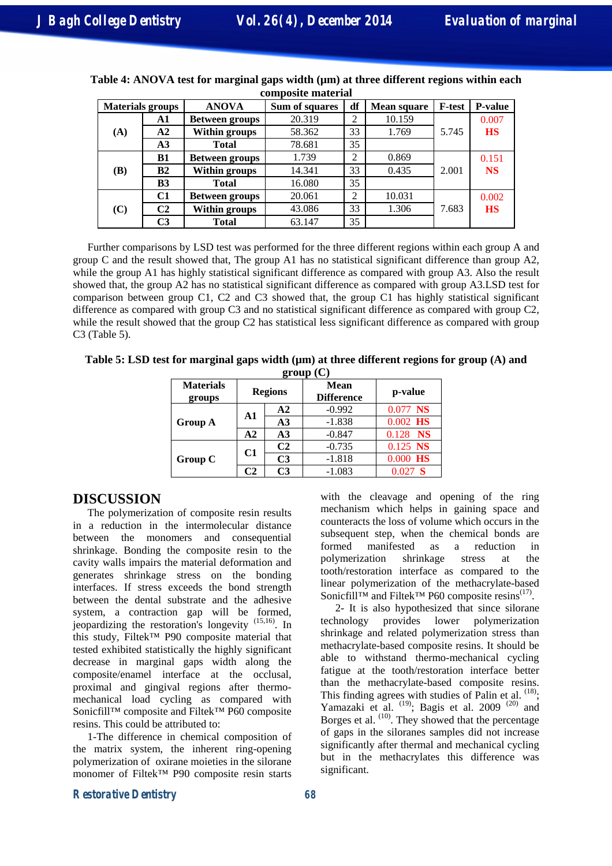| <b>Materials groups</b> |                | <b>ANOVA</b>          | Sum of squares | df             | <b>Mean square</b> | <b>F-test</b> | <b>P-value</b> |
|-------------------------|----------------|-----------------------|----------------|----------------|--------------------|---------------|----------------|
|                         | A1             | <b>Between groups</b> | 20.319         | 2              | 10.159             |               | 0.007          |
| (A)                     | A2             | Within groups         | 58.362         | 33             | 1.769              | 5.745         | <b>HS</b>      |
|                         | A <sub>3</sub> | <b>Total</b>          | 78.681         | 35             |                    |               |                |
|                         | B1             | <b>Between groups</b> | 1.739          | 2              | 0.869              |               | 0.151          |
| (B)                     | B2             | Within groups         | 14.341         | 33             | 0.435              | 2.001         | <b>NS</b>      |
|                         | B <sub>3</sub> | <b>Total</b>          | 16.080         | 35             |                    |               |                |
|                         | C1             | <b>Between groups</b> | 20.061         | $\overline{2}$ | 10.031             |               | 0.002          |
| (C)                     | C <sub>2</sub> | Within groups         | 43.086         | 33             | 1.306              | 7.683         | <b>HS</b>      |
|                         | C <sub>3</sub> | <b>Total</b>          | 63.147         | 35             |                    |               |                |

| Table 4: ANOVA test for marginal gaps width (µm) at three different regions within each |
|-----------------------------------------------------------------------------------------|
| composite material                                                                      |

Further comparisons by LSD test was performed for the three different regions within each group A and group C and the result showed that, The group A1 has no statistical significant difference than group A2, while the group A1 has highly statistical significant difference as compared with group A3. Also the result showed that, the group A2 has no statistical significant difference as compared with group A3.LSD test for comparison between group C1, C2 and C3 showed that, the group C1 has highly statistical significant difference as compared with group C3 and no statistical significant difference as compared with group C2, while the result showed that the group C2 has statistical less significant difference as compared with group C3 (Table 5).

**Table 5: LSD test for marginal gaps width (µm) at three different regions for group (A) and**   $\overline{\mathbf{g}}$ 

| group (C)                      |                |                |          |            |                                  |         |  |
|--------------------------------|----------------|----------------|----------|------------|----------------------------------|---------|--|
| <b>Materials</b><br>groups     | <b>Regions</b> |                |          |            | <b>Mean</b><br><b>Difference</b> | p-value |  |
|                                |                | $\mathbf{A2}$  | $-0.992$ | $0.077$ NS |                                  |         |  |
| Group A                        | A1             | A <sub>3</sub> | $-1.838$ | $0.002$ HS |                                  |         |  |
|                                | A2             | A <sub>3</sub> | $-0.847$ | $0.128$ NS |                                  |         |  |
|                                |                | C <sub>2</sub> | $-0.735$ | $0.125$ NS |                                  |         |  |
| C1<br>Group C<br>$\mathsf{C}2$ |                | C <sub>3</sub> | $-1.818$ | $0.000$ HS |                                  |         |  |
|                                |                | C <sub>3</sub> | $-1.083$ | $0.027$ S  |                                  |         |  |

# **DISCUSSION**

The polymerization of composite resin results in a reduction in the intermolecular distance between the monomers and consequential shrinkage. Bonding the composite resin to the cavity walls impairs the material deformation and generates shrinkage stress on the bonding interfaces. If stress exceeds the bond strength between the dental substrate and the adhesive system, a contraction gap will be formed, jeopardizing the restoration's longevity (15,16) . In this study, Filtek™ P90 composite material that tested exhibited statistically the highly significant decrease in marginal gaps width along the composite/enamel interface at the occlusal, proximal and gingival regions after thermomechanical load cycling as compared with Sonicfill™ composite and Filtek™ P60 composite resins. This could be attributed to:

1-The difference in chemical composition of the matrix system, the inherent ring-opening polymerization of oxirane moieties in the silorane monomer of Filtek™ P90 composite resin starts

with the cleavage and opening of the ring mechanism which helps in gaining space and counteracts the loss of volume which occurs in the subsequent step, when the chemical bonds are formed manifested as a reduction in polymerization shrinkage stress at the tooth/restoration interface as compared to the linear polymerization of the methacrylate-based Sonicfill™ and Filtek™ P60 composite resins<sup>(17)</sup>.

2- It is also hypothesized that since silorane technology provides lower polymerization shrinkage and related polymerization stress than methacrylate-based composite resins. It should be able to withstand thermo-mechanical cycling fatigue at the tooth/restoration interface better than the methacrylate-based composite resins. This finding agrees with studies of Palin et al.  $(18)$ ; Yamazaki et al.  $(19)$ ; Bagis et al. 2009  $(20)$  and Borges et al.  $(10)$ . They showed that the percentage of gaps in the siloranes samples did not increase significantly after thermal and mechanical cycling but in the methacrylates this difference was significant.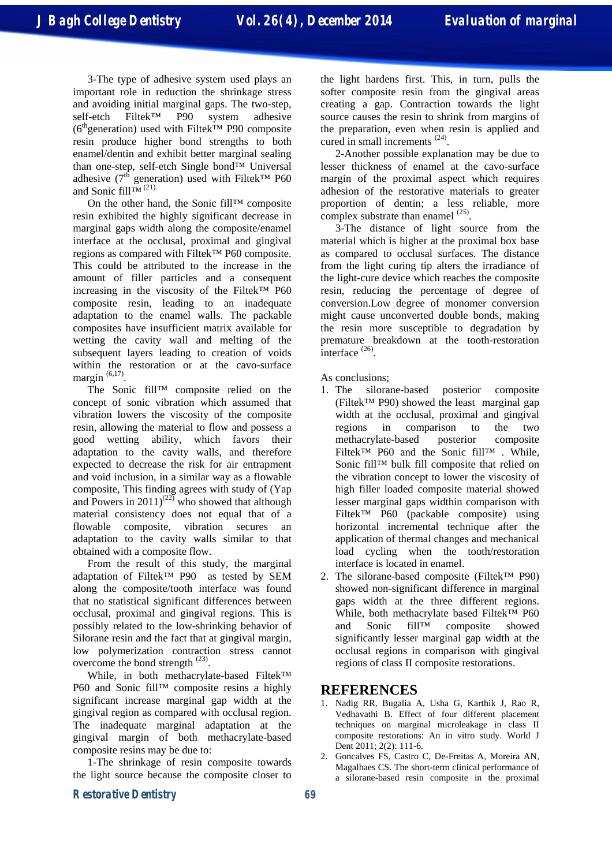3-The type of adhesive system used plays an important role in reduction the shrinkage stress and avoiding initial marginal gaps. The two-step,<br>self-etch Filtek<sup>TM</sup> P90 system adhesive self-etch Filtek™ P90 system adhesive (6<sup>th</sup>generation) used with Filtek<sup>™</sup> P90 composite resin produce higher bond strengths to both enamel/dentin and exhibit better marginal sealing than one-step, self-etch Single bond™ Universal adhesive ( $7<sup>th</sup>$  generation) used with Filtek<sup>TM</sup> P60 and Sonic fill<sup>™  $(21)$ .</sup>

On the other hand, the Sonic fill™ composite resin exhibited the highly significant decrease in marginal gaps width along the composite/enamel interface at the occlusal, proximal and gingival regions as compared with Filtek™ P60 composite. This could be attributed to the increase in the amount of filler particles and a consequent increasing in the viscosity of the Filtek™ P60 composite resin, leading to an inadequate adaptation to the enamel walls. The packable composites have insufficient matrix available for wetting the cavity wall and melting of the subsequent layers leading to creation of voids within the restoration or at the cavo-surface margin  $(6,17)$ .

The Sonic fill™ composite relied on the concept of sonic vibration which assumed that vibration lowers the viscosity of the composite resin, allowing the material to flow and possess a good wetting ability, which favors their adaptation to the cavity walls, and therefore expected to decrease the risk for air entrapment and void inclusion, in a similar way as a flowable composite, This finding agrees with study of (Yap and Powers in 2011)<sup>(22)</sup> who showed that although material consistency does not equal that of a flowable composite, vibration secures an adaptation to the cavity walls similar to that obtained with a composite flow.

From the result of this study, the marginal adaptation of Filtek™ P90 as tested by SEM along the composite/tooth interface was found that no statistical significant differences between occlusal, proximal and gingival regions. This is possibly related to the low-shrinking behavior of Silorane resin and the fact that at gingival margin, low polymerization contraction stress cannot overcome the bond strength  $^{(23)}$ .

While, in both methacrylate-based Filtek™ P60 and Sonic fill™ composite resins a highly significant increase marginal gap width at the gingival region as compared with occlusal region. The inadequate marginal adaptation at the gingival margin of both methacrylate-based composite resins may be due to:

1-The shrinkage of resin composite towards the light source because the composite closer to

the light hardens first. This, in turn, pulls the softer composite resin from the gingival areas creating a gap. Contraction towards the light source causes the resin to shrink from margins of the preparation, even when resin is applied and cured in small increments<sup>(24)</sup>.

2-Another possible explanation may be due to lesser thickness of enamel at the cavo-surface margin of the proximal aspect which requires adhesion of the restorative materials to greater proportion of dentin; a less reliable, more complex substrate than enamel  $^{(25)}$ .

3-The distance of light source from the material which is higher at the proximal box base as compared to occlusal surfaces. The distance from the light curing tip alters the irradiance of the light-cure device which reaches the composite resin, reducing the percentage of degree of conversion.Low degree of monomer conversion might cause unconverted double bonds, making the resin more susceptible to degradation by premature breakdown at the tooth-restoration interface  $(26)$ .

As conclusions;

- 1. The silorane-based posterior composite (Filtek™ P90) showed the least marginal gap width at the occlusal, proximal and gingival regions in comparison to the two methacrylate-based posterior composite Filtek™ P60 and the Sonic fill™ . While, Sonic fill™ bulk fill composite that relied on the vibration concept to lower the viscosity of high filler loaded composite material showed lesser marginal gaps widthin comparison with Filtek™ P60 (packable composite) using horizontal incremental technique after the application of thermal changes and mechanical load cycling when the tooth/restoration interface is located in enamel.
- 2. The silorane-based composite (Filtek™ P90) showed non-significant difference in marginal gaps width at the three different regions. While, both methacrylate based Filtek™ P60 and Sonic fill™ composite showed significantly lesser marginal gap width at the occlusal regions in comparison with gingival regions of class II composite restorations.

## **REFERENCES**

- 1. Nadig RR, Bugalia A, Usha G, Karthik J, Rao R, Vedhavathi B. Effect of four different placement techniques on marginal microleakage in class II composite restorations: An in vitro study. World J Dent 2011; 2(2): 111-6.
- 2. Goncalves FS, Castro C, De-Freitas A, Moreira AN, Magalhaes CS. The short-term clinical performance of a silorane-based resin composite in the proximal